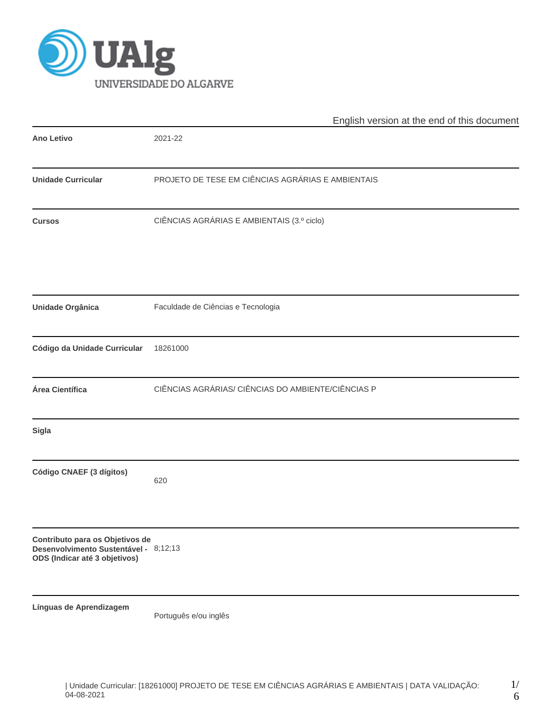

|                                                                                                           | English version at the end of this document        |  |  |  |  |  |  |
|-----------------------------------------------------------------------------------------------------------|----------------------------------------------------|--|--|--|--|--|--|
| <b>Ano Letivo</b>                                                                                         | 2021-22                                            |  |  |  |  |  |  |
| <b>Unidade Curricular</b>                                                                                 | PROJETO DE TESE EM CIÊNCIAS AGRÁRIAS E AMBIENTAIS  |  |  |  |  |  |  |
| <b>Cursos</b>                                                                                             | CIÊNCIAS AGRÁRIAS E AMBIENTAIS (3.º ciclo)         |  |  |  |  |  |  |
| <b>Unidade Orgânica</b>                                                                                   | Faculdade de Ciências e Tecnologia                 |  |  |  |  |  |  |
| Código da Unidade Curricular                                                                              | 18261000                                           |  |  |  |  |  |  |
| Área Científica                                                                                           | CIÊNCIAS AGRÁRIAS/ CIÊNCIAS DO AMBIENTE/CIÊNCIAS P |  |  |  |  |  |  |
| <b>Sigla</b>                                                                                              |                                                    |  |  |  |  |  |  |
| Código CNAEF (3 dígitos)                                                                                  | 620                                                |  |  |  |  |  |  |
| Contributo para os Objetivos de<br>Desenvolvimento Sustentável - 8;12;13<br>ODS (Indicar até 3 objetivos) |                                                    |  |  |  |  |  |  |
| Línguas de Aprendizagem                                                                                   | Português e/ou inglês                              |  |  |  |  |  |  |

1/ 6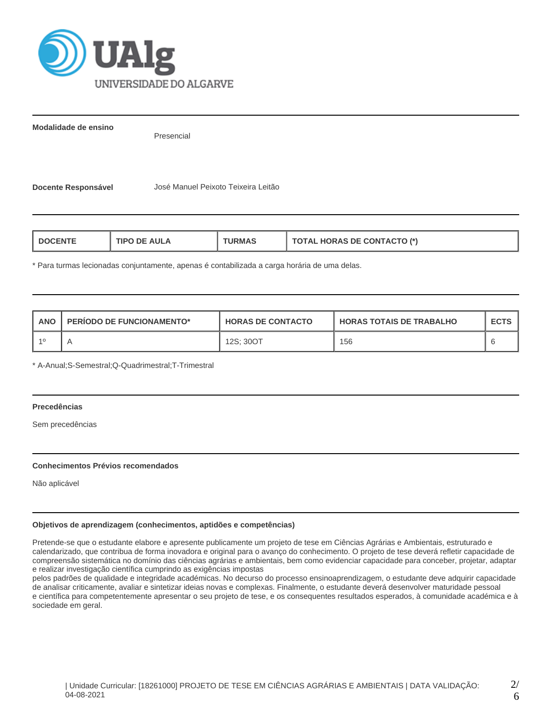

**Modalidade de ensino**

Presencial

**Docente Responsável** José Manuel Peixoto Teixeira Leitão

| ΔII | ו*/ חדי                         |
|-----|---------------------------------|
| ΠP  | NRAS DE CONT                    |
| RMA | $\cdot$ TAGTO $^{\prime\prime}$ |
|     | $\mathbf{a}$                    |

\* Para turmas lecionadas conjuntamente, apenas é contabilizada a carga horária de uma delas.

| <b>ANO</b> | PERIODO DE FUNCIONAMENTO* | <b>HORAS DE CONTACTO</b> | <b>I HORAS TOTAIS DE TRABALHO</b> | <b>ECTS</b> |
|------------|---------------------------|--------------------------|-----------------------------------|-------------|
| 10         |                           | 12S: 30OT                | 156                               |             |

\* A-Anual;S-Semestral;Q-Quadrimestral;T-Trimestral

## **Precedências**

Sem precedências

#### **Conhecimentos Prévios recomendados**

Não aplicável

## **Objetivos de aprendizagem (conhecimentos, aptidões e competências)**

Pretende-se que o estudante elabore e apresente publicamente um projeto de tese em Ciências Agrárias e Ambientais, estruturado e calendarizado, que contribua de forma inovadora e original para o avanço do conhecimento. O projeto de tese deverá refletir capacidade de compreensão sistemática no domínio das ciências agrárias e ambientais, bem como evidenciar capacidade para conceber, projetar, adaptar e realizar investigação científica cumprindo as exigências impostas

pelos padrões de qualidade e integridade académicas. No decurso do processo ensinoaprendizagem, o estudante deve adquirir capacidade de analisar criticamente, avaliar e sintetizar ideias novas e complexas. Finalmente, o estudante deverá desenvolver maturidade pessoal e científica para competentemente apresentar o seu projeto de tese, e os consequentes resultados esperados, à comunidade académica e à sociedade em geral.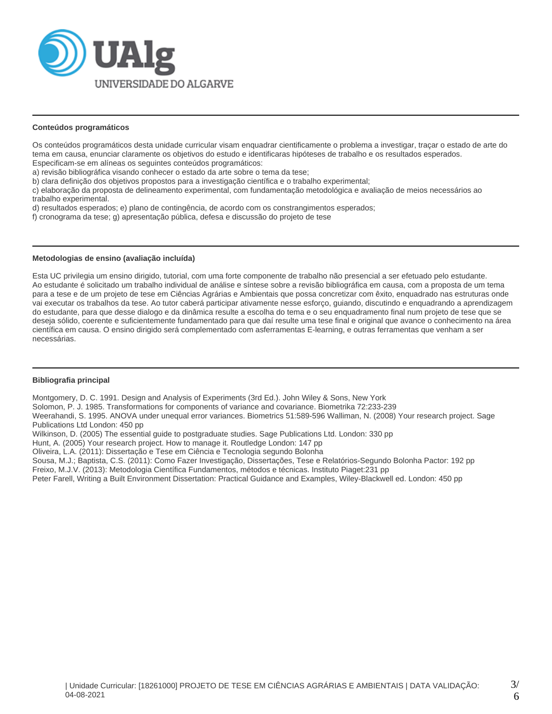

#### **Conteúdos programáticos**

Os conteúdos programáticos desta unidade curricular visam enquadrar cientificamente o problema a investigar, traçar o estado de arte do tema em causa, enunciar claramente os objetivos do estudo e identificaras hipóteses de trabalho e os resultados esperados. Especificam-se em alíneas os seguintes conteúdos programáticos:

a) revisão bibliográfica visando conhecer o estado da arte sobre o tema da tese;

b) clara definição dos objetivos propostos para a investigação científica e o trabalho experimental;

c) elaboração da proposta de delineamento experimental, com fundamentação metodológica e avaliação de meios necessários ao trabalho experimental.

d) resultados esperados; e) plano de contingência, de acordo com os constrangimentos esperados;

f) cronograma da tese; g) apresentação pública, defesa e discussão do projeto de tese

## **Metodologias de ensino (avaliação incluída)**

Esta UC privilegia um ensino dirigido, tutorial, com uma forte componente de trabalho não presencial a ser efetuado pelo estudante. Ao estudante é solicitado um trabalho individual de análise e síntese sobre a revisão bibliográfica em causa, com a proposta de um tema para a tese e de um projeto de tese em Ciências Agrárias e Ambientais que possa concretizar com êxito, enquadrado nas estruturas onde vai executar os trabalhos da tese. Ao tutor caberá participar ativamente nesse esforço, guiando, discutindo e enquadrando a aprendizagem do estudante, para que desse dialogo e da dinâmica resulte a escolha do tema e o seu enquadramento final num projeto de tese que se deseja sólido, coerente e suficientemente fundamentado para que daí resulte uma tese final e original que avance o conhecimento na área científica em causa. O ensino dirigido será complementado com asferramentas E-learning, e outras ferramentas que venham a ser necessárias.

#### **Bibliografia principal**

Montgomery, D. C. 1991. Design and Analysis of Experiments (3rd Ed.). John Wiley & Sons, New York

Solomon, P. J. 1985. Transformations for components of variance and covariance. Biometrika 72:233-239

Weerahandi, S. 1995. ANOVA under unequal error variances. Biometrics 51:589-596 Walliman, N. (2008) Your research project. Sage Publications Ltd London: 450 pp

Wilkinson, D. (2005) The essential guide to postgraduate studies. Sage Publications Ltd. London: 330 pp

Hunt, A. (2005) Your research project. How to manage it. Routledge London: 147 pp

Oliveira, L.A. (2011): Dissertação e Tese em Ciência e Tecnologia segundo Bolonha

Sousa, M.J.; Baptista, C.S. (2011): Como Fazer Investigação, Dissertações, Tese e Relatórios-Segundo Bolonha Pactor: 192 pp

Freixo, M.J.V. (2013): Metodologia Científica Fundamentos, métodos e técnicas. Instituto Piaget:231 pp

Peter Farell, Writing a Built Environment Dissertation: Practical Guidance and Examples, Wiley-Blackwell ed. London: 450 pp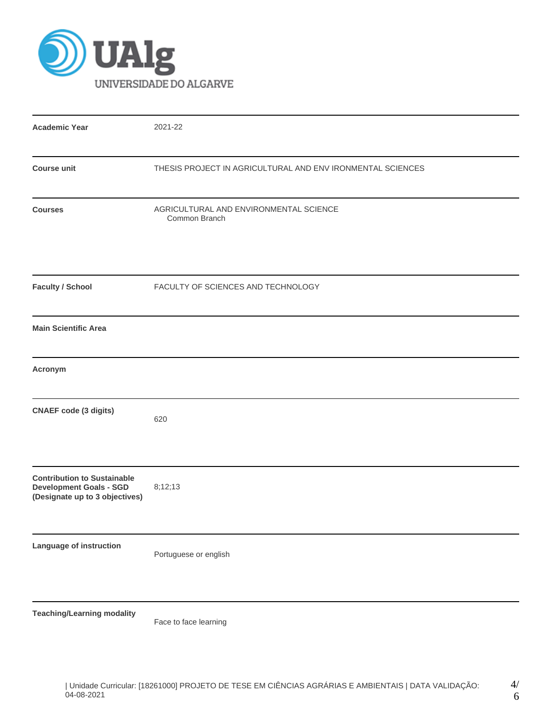

| <b>Academic Year</b>                                                                                   | 2021-22                                                    |
|--------------------------------------------------------------------------------------------------------|------------------------------------------------------------|
| <b>Course unit</b>                                                                                     | THESIS PROJECT IN AGRICULTURAL AND ENV IRONMENTAL SCIENCES |
| <b>Courses</b>                                                                                         | AGRICULTURAL AND ENVIRONMENTAL SCIENCE<br>Common Branch    |
| <b>Faculty / School</b>                                                                                | FACULTY OF SCIENCES AND TECHNOLOGY                         |
| <b>Main Scientific Area</b>                                                                            |                                                            |
| Acronym                                                                                                |                                                            |
| <b>CNAEF</b> code (3 digits)                                                                           | 620                                                        |
| <b>Contribution to Sustainable</b><br><b>Development Goals - SGD</b><br>(Designate up to 3 objectives) | 8;12;13                                                    |
| Language of instruction                                                                                | Portuguese or english                                      |
| <b>Teaching/Learning modality</b>                                                                      |                                                            |

Face to face learning

4/ 6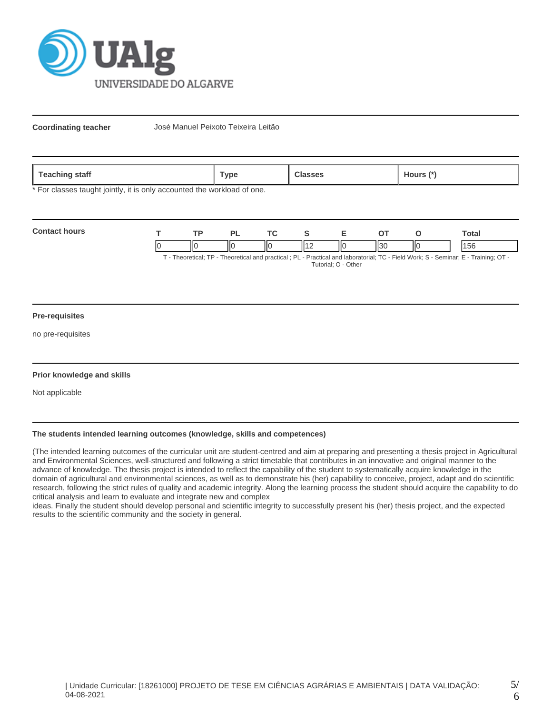

**Coordinating teacher** José Manuel Peixoto Teixeira Leitão

| 02C<br>statt<br>$\blacksquare$ | <b>Type</b> |  | $\mathbf{r}$<br>lours |
|--------------------------------|-------------|--|-----------------------|
|--------------------------------|-------------|--|-----------------------|

\* For classes taught jointly, it is only accounted the workload of one.

| <b>Contact hours</b> | TD. |   |    |   |    |      |     | `otal                                                                                                                                                                                                                                   |
|----------------------|-----|---|----|---|----|------|-----|-----------------------------------------------------------------------------------------------------------------------------------------------------------------------------------------------------------------------------------------|
|                      | ١К  | Ш | ΙЮ | . | IЮ | 1127 | IІC | l 5r<br>$T$ . The contrast $TD$ . The contrast contrast of $D$ is $D$ and $D$ and the contrast $T$ $D$ . The HMA and $D$ $D$ $D$ and $D$ $T$ is $D$ $T$ is $D$ $T$ is $D$ $T$ is $D$ $T$ is $D$ $T$ is $D$ $T$ is $D$ $T$ is $D$ is $D$ |

T - Theoretical; TP - Theoretical and practical ; PL - Practical and laboratorial; TC - Field Work; S - Seminar; E - Training; OT - Tutorial; O - Other

#### **Pre-requisites**

no pre-requisites

#### **Prior knowledge and skills**

Not applicable

# **The students intended learning outcomes (knowledge, skills and competences)**

(The intended learning outcomes of the curricular unit are student-centred and aim at preparing and presenting a thesis project in Agricultural and Environmental Sciences, well-structured and following a strict timetable that contributes in an innovative and original manner to the advance of knowledge. The thesis project is intended to reflect the capability of the student to systematically acquire knowledge in the domain of agricultural and environmental sciences, as well as to demonstrate his (her) capability to conceive, project, adapt and do scientific research, following the strict rules of quality and academic integrity. Along the learning process the student should acquire the capability to do critical analysis and learn to evaluate and integrate new and complex

ideas. Finally the student should develop personal and scientific integrity to successfully present his (her) thesis project, and the expected results to the scientific community and the society in general.